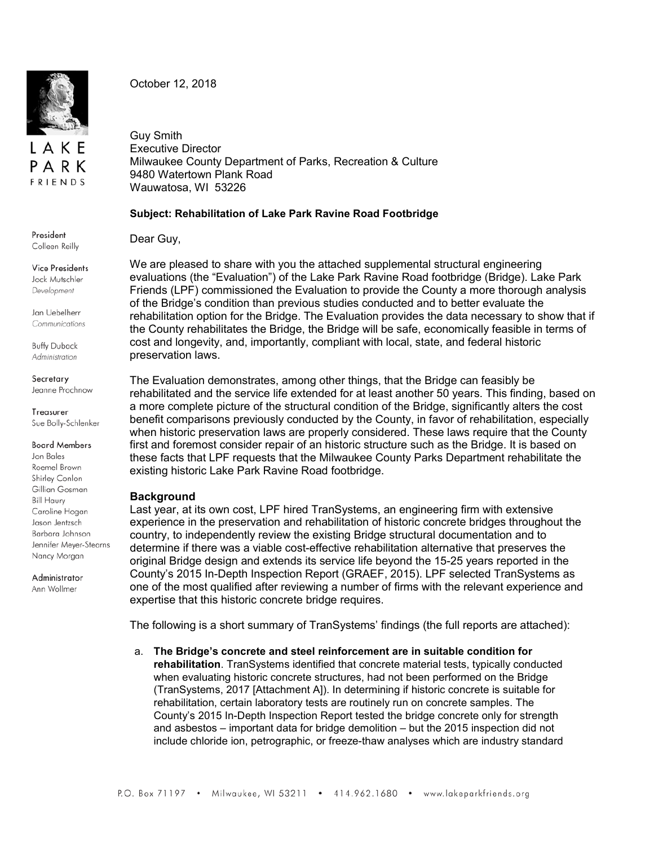

LAKE PARK **FRIENDS** 

October 12, 2018

Guy Smith Executive Director Milwaukee County Department of Parks, Recreation & Culture 9480 Watertown Plank Road Wauwatosa, WI 53226

## **Subject: Rehabilitation of Lake Park Ravine Road Footbridge**

Dear Guy,

We are pleased to share with you the attached supplemental structural engineering evaluations (the "Evaluation") of the Lake Park Ravine Road footbridge (Bridge). Lake Park Friends (LPF) commissioned the Evaluation to provide the County a more thorough analysis of the Bridge's condition than previous studies conducted and to better evaluate the rehabilitation option for the Bridge. The Evaluation provides the data necessary to show that if the County rehabilitates the Bridge, the Bridge will be safe, economically feasible in terms of cost and longevity, and, importantly, compliant with local, state, and federal historic preservation laws.

The Evaluation demonstrates, among other things, that the Bridge can feasibly be rehabilitated and the service life extended for at least another 50 years. This finding, based on a more complete picture of the structural condition of the Bridge, significantly alters the cost benefit comparisons previously conducted by the County, in favor of rehabilitation, especially when historic preservation laws are properly considered. These laws require that the County first and foremost consider repair of an historic structure such as the Bridge. It is based on these facts that LPF requests that the Milwaukee County Parks Department rehabilitate the existing historic Lake Park Ravine Road footbridge.

## **Background**

Last year, at its own cost, LPF hired TranSystems, an engineering firm with extensive experience in the preservation and rehabilitation of historic concrete bridges throughout the country, to independently review the existing Bridge structural documentation and to determine if there was a viable cost-effective rehabilitation alternative that preserves the original Bridge design and extends its service life beyond the 15-25 years reported in the County's 2015 In-Depth Inspection Report (GRAEF, 2015). LPF selected TranSystems as one of the most qualified after reviewing a number of firms with the relevant experience and expertise that this historic concrete bridge requires.

The following is a short summary of TranSystems' findings (the full reports are attached):

a. **The Bridge's concrete and steel reinforcement are in suitable condition for rehabilitation**. TranSystems identified that concrete material tests, typically conducted when evaluating historic concrete structures, had not been performed on the Bridge (TranSystems, 2017 [Attachment A]). In determining if historic concrete is suitable for rehabilitation, certain laboratory tests are routinely run on concrete samples. The County's 2015 In-Depth Inspection Report tested the bridge concrete only for strength and asbestos – important data for bridge demolition – but the 2015 inspection did not include chloride ion, petrographic, or freeze-thaw analyses which are industry standard

President Colleen Reilly

**Vice Presidents** Jock Mutschler Development

Jan Uebelherr Communications

**Buffy Duback** Administration

Secretary Jeanne Prochnow

Treasurer Sue Bolly-Schlenker

**Board Members** 

Jon Bales Roemel Brown Shirley Conlon Gillian Gosman **Bill Haury** Caroline Hogan Jason Jentzsch Barbara Johnson Jennifer Meyer-Stearns Nancy Morgan

Administrator Ann Wollmer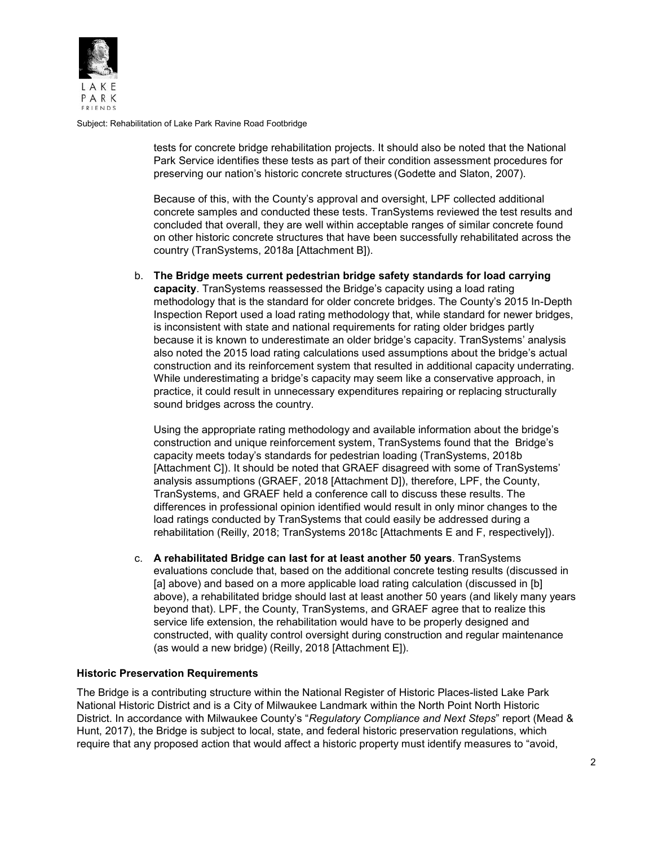

Subject: Rehabilitation of Lake Park Ravine Road Footbridge

tests for concrete bridge rehabilitation projects. It should also be noted that the National Park Service identifies these tests as part of their condition assessment procedures for preserving our nation's historic concrete structures (Godette and Slaton, 2007).

Because of this, with the County's approval and oversight, LPF collected additional concrete samples and conducted these tests. TranSystems reviewed the test results and concluded that overall, they are well within acceptable ranges of similar concrete found on other historic concrete structures that have been successfully rehabilitated across the country (TranSystems, 2018a [Attachment B]).

b. **The Bridge meets current pedestrian bridge safety standards for load carrying capacity**. TranSystems reassessed the Bridge's capacity using a load rating methodology that is the standard for older concrete bridges. The County's 2015 In-Depth Inspection Report used a load rating methodology that, while standard for newer bridges, is inconsistent with state and national requirements for rating older bridges partly because it is known to underestimate an older bridge's capacity. TranSystems' analysis also noted the 2015 load rating calculations used assumptions about the bridge's actual construction and its reinforcement system that resulted in additional capacity underrating. While underestimating a bridge's capacity may seem like a conservative approach, in practice, it could result in unnecessary expenditures repairing or replacing structurally sound bridges across the country.

Using the appropriate rating methodology and available information about the bridge's construction and unique reinforcement system, TranSystems found that the Bridge's capacity meets today's standards for pedestrian loading (TranSystems, 2018b [Attachment C]). It should be noted that GRAEF disagreed with some of TranSystems' analysis assumptions (GRAEF, 2018 [Attachment D]), therefore, LPF, the County, TranSystems, and GRAEF held a conference call to discuss these results. The differences in professional opinion identified would result in only minor changes to the load ratings conducted by TranSystems that could easily be addressed during a rehabilitation (Reilly, 2018; TranSystems 2018c [Attachments E and F, respectively]).

c. **A rehabilitated Bridge can last for at least another 50 years**. TranSystems evaluations conclude that, based on the additional concrete testing results (discussed in [a] above) and based on a more applicable load rating calculation (discussed in [b] above), a rehabilitated bridge should last at least another 50 years (and likely many years beyond that). LPF, the County, TranSystems, and GRAEF agree that to realize this service life extension, the rehabilitation would have to be properly designed and constructed, with quality control oversight during construction and regular maintenance (as would a new bridge) (Reilly, 2018 [Attachment E]).

## **Historic Preservation Requirements**

The Bridge is a contributing structure within the National Register of Historic Places-listed Lake Park National Historic District and is a City of Milwaukee Landmark within the North Point North Historic District. In accordance with Milwaukee County's "*Regulatory Compliance and Next Steps*" report (Mead & Hunt, 2017), the Bridge is subject to local, state, and federal historic preservation regulations, which require that any proposed action that would affect a historic property must identify measures to "avoid,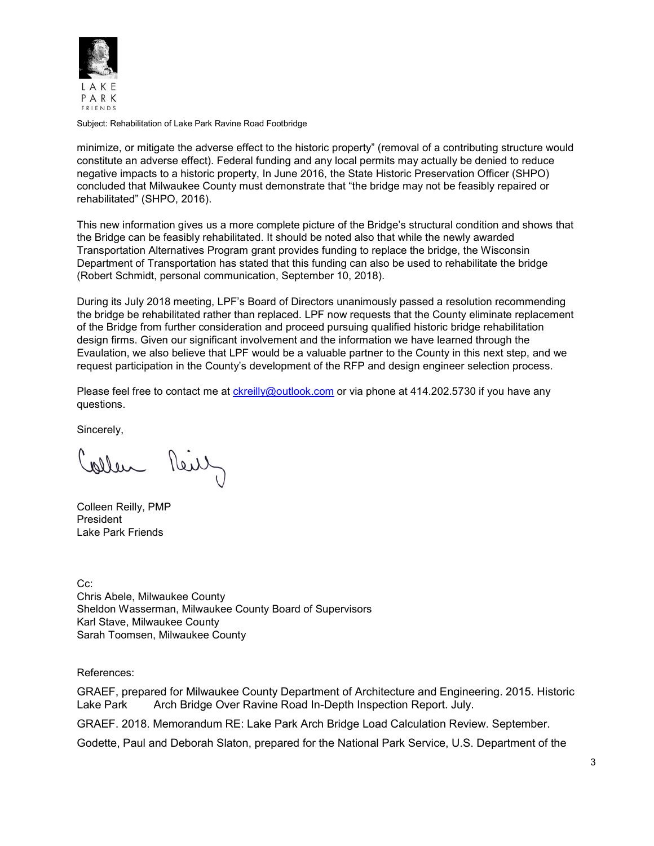

Subject: Rehabilitation of Lake Park Ravine Road Footbridge

minimize, or mitigate the adverse effect to the historic property" (removal of a contributing structure would constitute an adverse effect). Federal funding and any local permits may actually be denied to reduce negative impacts to a historic property, In June 2016, the State Historic Preservation Officer (SHPO) concluded that Milwaukee County must demonstrate that "the bridge may not be feasibly repaired or rehabilitated" (SHPO, 2016).

This new information gives us a more complete picture of the Bridge's structural condition and shows that the Bridge can be feasibly rehabilitated. It should be noted also that while the newly awarded Transportation Alternatives Program grant provides funding to replace the bridge, the Wisconsin Department of Transportation has stated that this funding can also be used to rehabilitate the bridge (Robert Schmidt, personal communication, September 10, 2018).

During its July 2018 meeting, LPF's Board of Directors unanimously passed a resolution recommending the bridge be rehabilitated rather than replaced. LPF now requests that the County eliminate replacement of the Bridge from further consideration and proceed pursuing qualified historic bridge rehabilitation design firms. Given our significant involvement and the information we have learned through the Evaulation, we also believe that LPF would be a valuable partner to the County in this next step, and we request participation in the County's development of the RFP and design engineer selection process.

Please feel free to contact me at [ckreilly@outlook.com](mailto:ckreilly@outlook.com) or via phone at 414.202.5730 if you have any questions.

Sincerely,

allen Reily

Colleen Reilly, PMP President Lake Park Friends

Cc: Chris Abele, Milwaukee County Sheldon Wasserman, Milwaukee County Board of Supervisors Karl Stave, Milwaukee County Sarah Toomsen, Milwaukee County

References:

GRAEF, prepared for Milwaukee County Department of Architecture and Engineering. 2015. Historic Lake Park Arch Bridge Over Ravine Road In-Depth Inspection Report. July.

GRAEF. 2018. Memorandum RE: Lake Park Arch Bridge Load Calculation Review. September.

Godette, Paul and Deborah Slaton, prepared for the National Park Service, U.S. Department of the